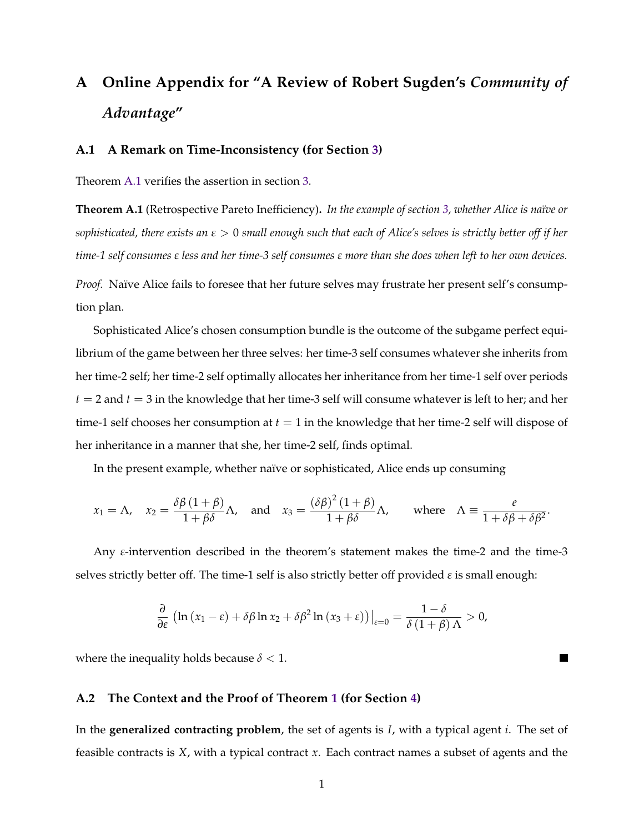# <span id="page-0-4"></span>**A Online Appendix for "A Review of Robert Sugden's** *Community of Advantage***"**

### <span id="page-0-3"></span><span id="page-0-2"></span>**A.1 A Remark on Time-Inconsistency (for Section [3\)](#page-0-0)**

<span id="page-0-9"></span><span id="page-0-1"></span>Theorem [A.1](#page-0-1) verifies the assertion in section [3.](#page-0-0)

<span id="page-0-18"></span><span id="page-0-11"></span><span id="page-0-10"></span>**Theorem A.1** (Retrospective Pareto Inefficiency)**.** *In the example of section [3,](#page-0-0) whether Alice is naïve or sophisticated, there exists an*  $\epsilon > 0$  *small enough such that each of Alice's selves is strictly better off if her time-1 self consumes*  $\epsilon$  *less and her time-3 self consumes*  $\epsilon$  *more than she does when left to her own devices.* 

*Proof.* Naïve Alice fails to foresee that her future selves may frustrate her present self's consumption plan.

<span id="page-0-8"></span><span id="page-0-0"></span>Sophisticated Alice's chosen consumption bundle is the outcome of the subgame perfect equilibrium of the game between her three selves: her time-3 self consumes whatever she inherits from her time-2 self; her time-2 self optimally allocates her inheritance from her time-1 self over periods  $t = 2$  and  $t = 3$  in the knowledge that her time-3 self will consume whatever is left to her; and her time-1 self chooses her consumption at *t* = 1 in the knowledge that her time-2 self will dispose of her inheritance in a manner that she, her time-2 self, finds optimal.

<span id="page-0-13"></span><span id="page-0-7"></span>In the present example, whether naïve or sophisticated, Alice ends up consuming

<span id="page-0-17"></span><span id="page-0-16"></span><span id="page-0-12"></span>
$$
x_1 = \Lambda
$$
,  $x_2 = \frac{\delta \beta (1 + \beta)}{1 + \beta \delta} \Lambda$ , and  $x_3 = \frac{(\delta \beta)^2 (1 + \beta)}{1 + \beta \delta} \Lambda$ , where  $\Lambda = \frac{e}{1 + \delta \beta + \delta \beta^2}$ .

<span id="page-0-15"></span><span id="page-0-14"></span><span id="page-0-6"></span><span id="page-0-5"></span>Any  $\varepsilon$ -intervention described in the theorem's statement makes the time-2 and the time-3 selves strictly better off. The time-1 self is also strictly better off provided  $\varepsilon$  is small enough:

$$
\frac{\partial}{\partial \varepsilon} \left( \ln \left( x_1 - \varepsilon \right) + \delta \beta \ln x_2 + \delta \beta^2 \ln \left( x_3 + \varepsilon \right) \right) \Big|_{\varepsilon=0} = \frac{1 - \delta}{\delta \left( 1 + \beta \right) \Lambda} > 0,
$$

 $\blacksquare$ 

where the inequality holds because  $\delta$  < 1.

## **A.2 The Context and the Proof of Theorem [1](#page-0-2) (for Section [4\)](#page-0-3)**

In the **generalized contracting problem**, the set of agents is *I*, with a typical agent *i*. The set of feasible contracts is *X*, with a typical contract *x*. Each contract names a subset of agents and the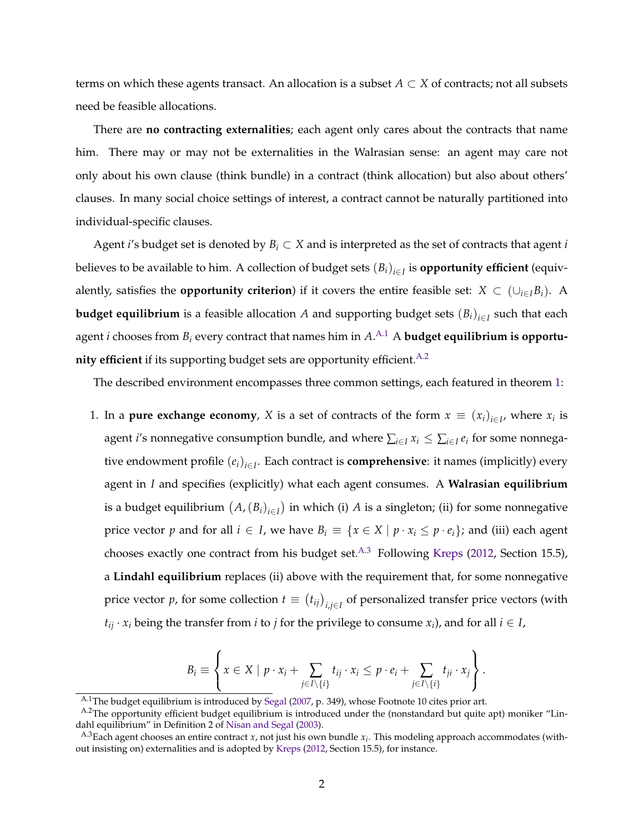terms on which these agents transact. An allocation is a subset  $A \subset X$  of contracts; not all subsets need be feasible allocations.

There are **no contracting externalities**; each agent only cares about the contracts that name him. There may or may not be externalities in the Walrasian sense: an agent may care not only about his own clause (think bundle) in a contract (think allocation) but also about others' clauses. In many social choice settings of interest, a contract cannot be naturally partitioned into individual-specific clauses.

Agent *i*'s budget set is denoted by  $B_i \subset X$  and is interpreted as the set of contracts that agent *i* believes to be available to him. A collection of budget sets  $(B_i)_{i \in I}$  is **opportunity efficient** (equivalently, satisfies the **opportunity criterion**) if it covers the entire feasible set:  $X \subset (\bigcup_{i \in I} B_i)$ . A **budget equilibrium** is a feasible allocation *A* and supporting budget sets  $(B_i)_{i \in I}$  such that each agent  $i$  chooses from  $B_i$  every contract that names him in  $A.^{\mathrm{A}.1}$   $\mathrm A$  <code>budget</code> equilibrium is <code>opportu-</code> **nity efficient** if its supporting budget sets are opportunity efficient.  $A.2$ 

The described environment encompasses three common settings, each featured in theorem [1:](#page-0-2)

1. In a **pure exchange economy**, *X* is a set of contracts of the form  $x \equiv (x_i)_{i \in I}$ , where  $x_i$  is agent *i*'s nonnegative consumption bundle, and where  $\sum_{i\in I} x_i \leq \sum_{i\in I} e_i$  for some nonnegative endowment profile  $(e_i)_{i \in I}$ . Each contract is **comprehensive**: it names (implicitly) every agent in *I* and specifies (explicitly) what each agent consumes. A **Walrasian equilibrium** is a budget equilibrium  $(A, (B_i)_{i \in I})$  in which (i) *A* is a singleton; (ii) for some nonnegative price vector *p* and for all  $i \in I$ , we have  $B_i \equiv \{x \in X \mid p \cdot x_i \leq p \cdot e_i\}$ ; and (iii) each agent chooses exactly one contract from his budget set.<sup>A.3</sup> Following [Kreps](#page-0-4) [\(2012,](#page-0-4) Section 15.5), a **Lindahl equilibrium** replaces (ii) above with the requirement that, for some nonnegative price vector *p*, for some collection  $t \equiv (t_{ij})_{i,j \in I}$  of personalized transfer price vectors (with  $t_{ij} \cdot x_i$  being the transfer from *i* to *j* for the privilege to consume  $x_i$ , and for all  $i \in I$ ,

$$
B_i \equiv \left\{ x \in X \mid p \cdot x_i + \sum_{j \in I \setminus \{i\}} t_{ij} \cdot x_i \leq p \cdot e_i + \sum_{j \in I \setminus \{i\}} t_{ji} \cdot x_j \right\}.
$$

<span id="page-1-1"></span><span id="page-1-0"></span>A.1The budget equilibrium is introduced by [Segal](#page-0-5) [\(2007,](#page-0-5) p. 349), whose Footnote 10 cites prior art.

A.<sup>2</sup>The opportunity efficient budget equilibrium is introduced under the (nonstandard but quite apt) moniker "Lindahl equilibrium" in Definition 2 of [Nisan and Segal](#page-0-6) [\(2003\)](#page-0-6).

<span id="page-1-2"></span>A.3Each agent chooses an entire contract *x*, not just his own bundle *xi*. This modeling approach accommodates (without insisting on) externalities and is adopted by [Kreps](#page-0-4) [\(2012,](#page-0-4) Section 15.5), for instance.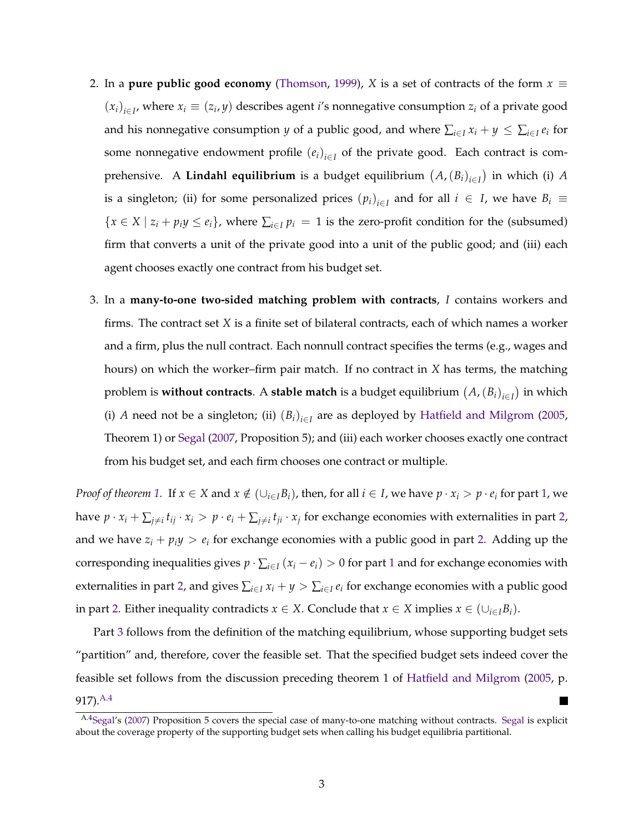- 2. In a **pure public good economy** [\(Thomson,](#page-0-7) [1999\)](#page-0-7), *X* is a set of contracts of the form  $x \equiv$  $(x_i)_{i \in I}$ , where  $x_i \equiv (z_i, y)$  describes agent *i*'s nonnegative consumption  $z_i$  of a private good and his nonnegative consumption *y* of a public good, and where  $\sum_{i\in I} x_i + y \leq \sum_{i\in I} e_i$  for some nonnegative endowment profile  $(e_i)_{i \in I}$  of the private good. Each contract is comprehensive. A **Lindahl equilibrium** is a budget equilibrium  $(A, (B_i)_{i \in I})$  in which (i) *A* is a singleton; (ii) for some personalized prices  $(p_i)_{i \in I}$  and for all  $i \in I$ , we have  $B_i \equiv$  ${x \in X \mid z_i + p_i y \le e_i}$ , where  $\sum_{i \in I} p_i = 1$  is the zero-profit condition for the (subsumed) firm that converts a unit of the private good into a unit of the public good; and (iii) each agent chooses exactly one contract from his budget set.
- 3. In a **many-to-one two-sided matching problem with contracts**, *I* contains workers and firms. The contract set *X* is a finite set of bilateral contracts, each of which names a worker and a firm, plus the null contract. Each nonnull contract specifies the terms (e.g., wages and hours) on which the worker–firm pair match. If no contract in *X* has terms, the matching problem is **without contracts**. A **stable match** is a budget equilibrium  $(A, (B_i)_{i \in I})$  in which (i) *A* need not be a singleton; (ii)  $(B_i)_{i \in I}$  are as deployed by [Hatfield and Milgrom](#page-0-8) [\(2005,](#page-0-8) Theorem 1) or [Segal](#page-0-5) [\(2007,](#page-0-5) Proposition 5); and (iii) each worker chooses exactly one contract from his budget set, and each firm chooses one contract or multiple.

*Proof of theorem* [1.](#page-0-2) If  $x \in X$  and  $x \notin (\bigcup_{i \in I} B_i)$ , then, for all  $i \in I$ , we have  $p \cdot x_i > p \cdot e_i$  for part [1,](#page-0-9) we have  $p \cdot x_i + \sum_{j \neq i} t_{ij} \cdot x_i > p \cdot e_i + \sum_{j \neq i} t_{ji} \cdot x_j$  for exchange economies with externalities in part [2,](#page-0-10) and we have  $z_i + p_i y > e_i$  for exchange economies with a public good in part [2.](#page-0-10) Adding up the corresponding inequalities gives  $p \cdot \sum_{i \in I} (x_i - e_i) > 0$  for part [1](#page-0-9) and for exchange economies with externalities in part [2,](#page-0-10) and gives  $\sum_{i\in I} x_i + y > \sum_{i\in I} e_i$  for exchange economies with a public good in part [2.](#page-0-10) Either inequality contradicts  $x \in X$ . Conclude that  $x \in X$  implies  $x \in (\bigcup_{i \in I} B_i)$ .

Part [3](#page-0-11) follows from the definition of the matching equilibrium, whose supporting budget sets "partition" and, therefore, cover the feasible set. That the specified budget sets indeed cover the feasible set follows from the discussion preceding theorem 1 of [Hatfield and Milgrom](#page-0-8) [\(2005,](#page-0-8) p. 917)[.A.4](#page-2-0)

<span id="page-2-0"></span>A.[4Segal'](#page-0-5)s [\(2007\)](#page-0-5) Proposition 5 covers the special case of many-to-one matching without contracts. [Segal](#page-0-5) is explicit about the coverage property of the supporting budget sets when calling his budget equilibria partitional.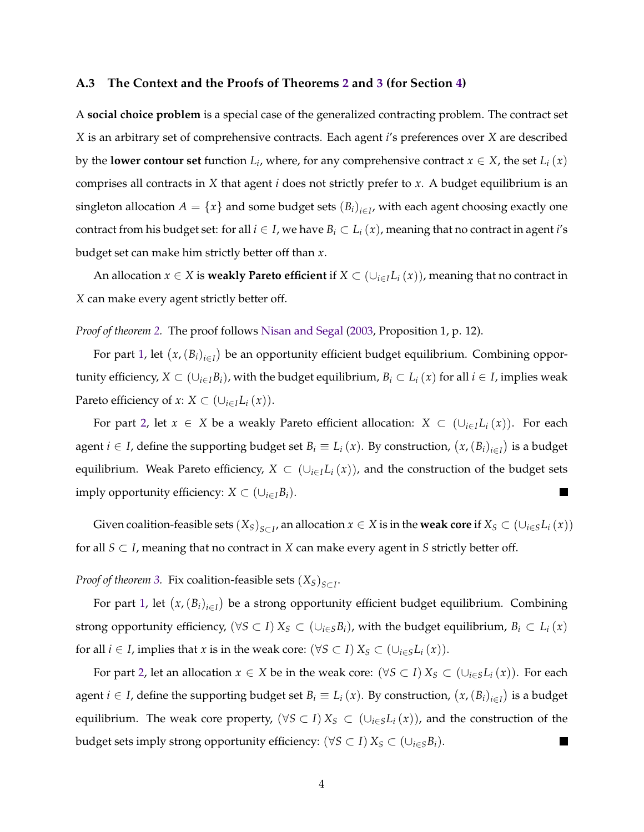#### **A.3 The Context and the Proofs of Theorems [2](#page-0-12) and [3](#page-0-13) (for Section [4\)](#page-0-3)**

A **social choice problem** is a special case of the generalized contracting problem. The contract set *X* is an arbitrary set of comprehensive contracts. Each agent *i*'s preferences over *X* are described by the **lower contour set** function  $L_i$ , where, for any comprehensive contract  $x \in X$ , the set  $L_i(x)$ comprises all contracts in *X* that agent *i* does not strictly prefer to *x*. A budget equilibrium is an singleton allocation  $A = \{x\}$  and some budget sets  $(B_i)_{i \in I}$ , with each agent choosing exactly one contract from his budget set: for all  $i \in I$ , we have  $B_i \subset L_i(x)$ , meaning that no contract in agent *i*'s budget set can make him strictly better off than *x*.

An allocation  $x \in X$  is **weakly Pareto efficient** if  $X \subset (\bigcup_{i \in I} L_i(x))$ , meaning that no contract in *X* can make every agent strictly better off.

*Proof of theorem [2.](#page-0-12)* The proof follows [Nisan and Segal](#page-0-6) [\(2003,](#page-0-6) Proposition 1, p. 12).

For part [1,](#page-0-14) let  $(x,(B_i)_{i\in I})$  be an opportunity efficient budget equilibrium. Combining opportunity efficiency,  $X \subset (\cup_{i \in I} B_i)$ , with the budget equilibrium,  $B_i \subset L_i(x)$  for all  $i \in I$ , implies weak Pareto efficiency of *x*:  $X \subset (\bigcup_{i \in I} L_i(x))$ .

For part [2,](#page-0-15) let  $x \in X$  be a weakly Pareto efficient allocation:  $X \subset (\cup_{i \in I} L_i(x))$ . For each agent  $i \in I$ , define the supporting budget set  $B_i \equiv L_i(x)$ . By construction,  $(x, (B_i)_{i \in I})$  is a budget equilibrium. Weak Pareto efficiency,  $X \subset (\cup_{i \in I} L_i(x))$ , and the construction of the budget sets imply opportunity efficiency:  $X \subset (\cup_{i \in I} B_i)$ .  $\blacksquare$ 

Given coalition-feasible sets  $(X_S)_{S \subset I}$ , an allocation  $x \in X$  is in the **weak core** if  $X_S \subset (\cup_{i \in S} L_i(x))$ for all  $S \subset I$ , meaning that no contract in *X* can make every agent in *S* strictly better off.

*Proof of theorem [3.](#page-0-13)* Fix coalition-feasible sets  $(X_S)_{S \subset I}$ .

For part [1,](#page-0-16) let  $(x,(B_i)_{i\in I})$  be a strong opportunity efficient budget equilibrium. Combining strong opportunity efficiency,  $(\forall S \subset I) X_S \subset (\cup_{i \in S} B_i)$ , with the budget equilibrium,  $B_i \subset L_i(x)$ for all  $i \in I$ , implies that *x* is in the weak core:  $(\forall S \subset I) X_S \subset (\cup_{i \in S} L_i(x))$ .

For part [2,](#page-0-17) let an allocation  $x \in X$  be in the weak core:  $(\forall S \subset I) X_S \subset (\cup_{i \in S} L_i(x))$ . For each agent  $i \in I$ , define the supporting budget set  $B_i \equiv L_i(x)$ . By construction,  $(x, (B_i)_{i \in I})$  is a budget equilibrium. The weak core property,  $(\forall S \subset I) X_S \subset (\cup_{i \in S} L_i(x))$ , and the construction of the budget sets imply strong opportunity efficiency:  $(\forall S \subset I) X_S \subset (\cup_{i \in S} B_i)$ .  $\blacksquare$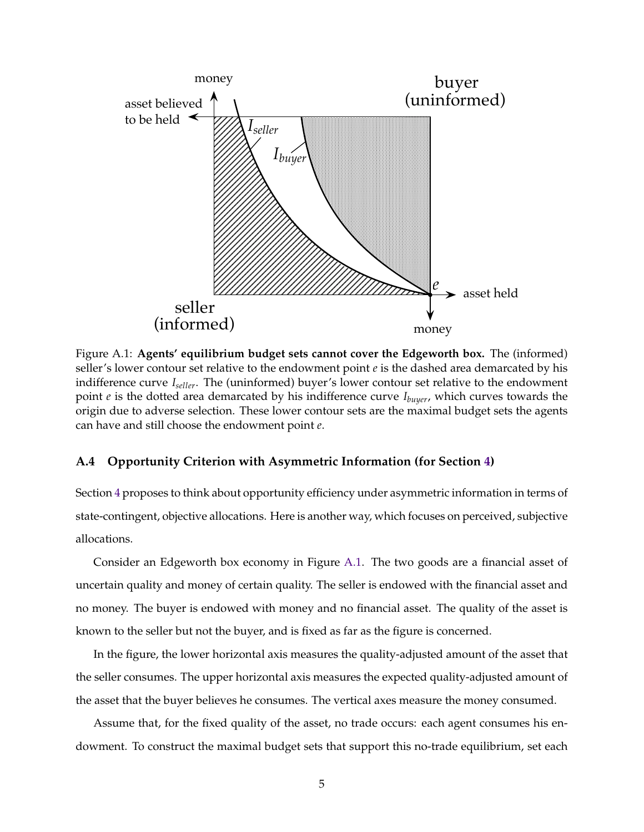<span id="page-4-0"></span>

Figure A.1: **Agents' equilibrium budget sets cannot cover the Edgeworth box.** The (informed) seller's lower contour set relative to the endowment point *e* is the dashed area demarcated by his indifference curve *Iseller*. The (uninformed) buyer's lower contour set relative to the endowment point *e* is the dotted area demarcated by his indifference curve *Ibuyer*, which curves towards the origin due to adverse selection. These lower contour sets are the maximal budget sets the agents can have and still choose the endowment point *e*.

## **A.4 Opportunity Criterion with Asymmetric Information (for Section [4\)](#page-0-3)**

Section [4](#page-0-3) proposes to think about opportunity efficiency under asymmetric information in terms of state-contingent, objective allocations. Here is another way, which focuses on perceived, subjective allocations.

Consider an Edgeworth box economy in Figure [A.1.](#page-4-0) The two goods are a financial asset of uncertain quality and money of certain quality. The seller is endowed with the financial asset and no money. The buyer is endowed with money and no financial asset. The quality of the asset is known to the seller but not the buyer, and is fixed as far as the figure is concerned.

In the figure, the lower horizontal axis measures the quality-adjusted amount of the asset that the seller consumes. The upper horizontal axis measures the expected quality-adjusted amount of the asset that the buyer believes he consumes. The vertical axes measure the money consumed.

Assume that, for the fixed quality of the asset, no trade occurs: each agent consumes his endowment. To construct the maximal budget sets that support this no-trade equilibrium, set each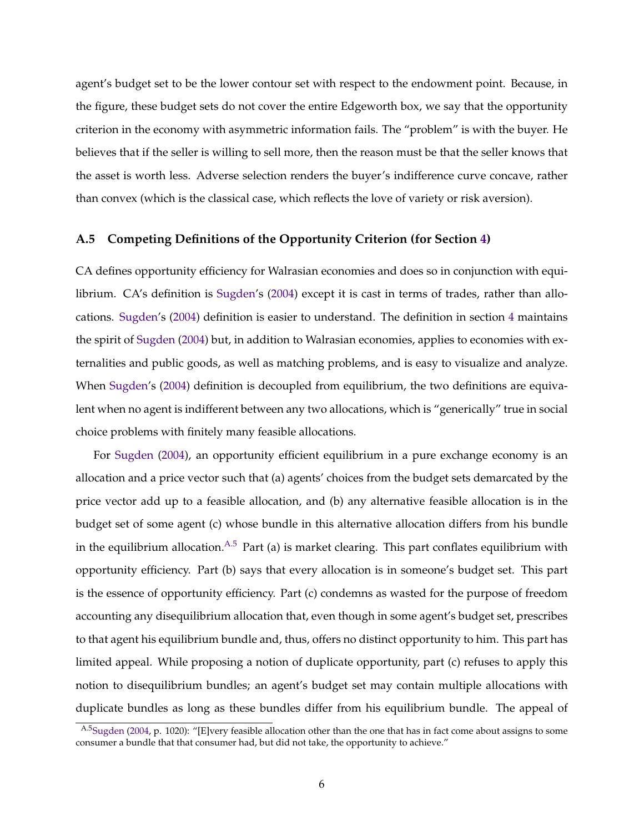agent's budget set to be the lower contour set with respect to the endowment point. Because, in the figure, these budget sets do not cover the entire Edgeworth box, we say that the opportunity criterion in the economy with asymmetric information fails. The "problem" is with the buyer. He believes that if the seller is willing to sell more, then the reason must be that the seller knows that the asset is worth less. Adverse selection renders the buyer's indifference curve concave, rather than convex (which is the classical case, which reflects the love of variety or risk aversion).

## **A.5 Competing Definitions of the Opportunity Criterion (for Section [4\)](#page-0-3)**

CA defines opportunity efficiency for Walrasian economies and does so in conjunction with equilibrium. CA's definition is [Sugden'](#page-0-18)s [\(2004\)](#page-0-18) except it is cast in terms of trades, rather than allocations. [Sugden'](#page-0-18)s [\(2004\)](#page-0-18) definition is easier to understand. The definition in section [4](#page-0-3) maintains the spirit of [Sugden](#page-0-18) [\(2004\)](#page-0-18) but, in addition to Walrasian economies, applies to economies with externalities and public goods, as well as matching problems, and is easy to visualize and analyze. When [Sugden'](#page-0-18)s [\(2004\)](#page-0-18) definition is decoupled from equilibrium, the two definitions are equivalent when no agent is indifferent between any two allocations, which is "generically" true in social choice problems with finitely many feasible allocations.

For [Sugden](#page-0-18) [\(2004\)](#page-0-18), an opportunity efficient equilibrium in a pure exchange economy is an allocation and a price vector such that (a) agents' choices from the budget sets demarcated by the price vector add up to a feasible allocation, and (b) any alternative feasible allocation is in the budget set of some agent (c) whose bundle in this alternative allocation differs from his bundle in the equilibrium allocation.  $A.5$  Part (a) is market clearing. This part conflates equilibrium with opportunity efficiency. Part (b) says that every allocation is in someone's budget set. This part is the essence of opportunity efficiency. Part (c) condemns as wasted for the purpose of freedom accounting any disequilibrium allocation that, even though in some agent's budget set, prescribes to that agent his equilibrium bundle and, thus, offers no distinct opportunity to him. This part has limited appeal. While proposing a notion of duplicate opportunity, part (c) refuses to apply this notion to disequilibrium bundles; an agent's budget set may contain multiple allocations with duplicate bundles as long as these bundles differ from his equilibrium bundle. The appeal of

<span id="page-5-0"></span>A.[5Sugden](#page-0-18) [\(2004,](#page-0-18) p. 1020): "[E]very feasible allocation other than the one that has in fact come about assigns to some consumer a bundle that that consumer had, but did not take, the opportunity to achieve."